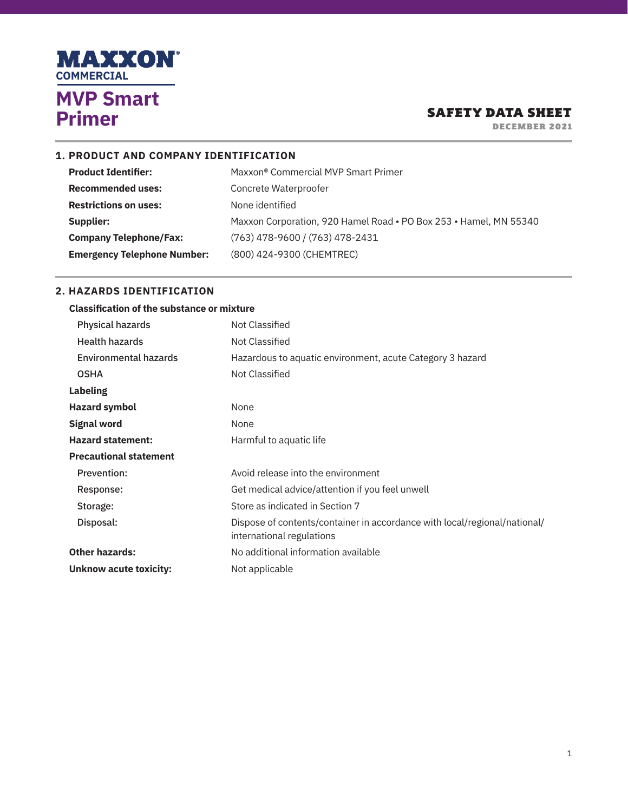

DECEMBER 2021

### **1. PRODUCT AND COMPANY IDENTIFICATION**

| <b>Product Identifier:</b>         | Maxxon <sup>®</sup> Commercial MVP Smart Primer                   |
|------------------------------------|-------------------------------------------------------------------|
| <b>Recommended uses:</b>           | Concrete Waterproofer                                             |
| <b>Restrictions on uses:</b>       | None identified                                                   |
| Supplier:                          | Maxxon Corporation, 920 Hamel Road • PO Box 253 • Hamel, MN 55340 |
| <b>Company Telephone/Fax:</b>      | (763) 478-9600 / (763) 478-2431                                   |
| <b>Emergency Telephone Number:</b> | (800) 424-9300 (CHEMTREC)                                         |

### **2. HAZARDS IDENTIFICATION**

#### **Classification of the substance or mixture**

| Physical hazards              | Not Classified                                                                                         |
|-------------------------------|--------------------------------------------------------------------------------------------------------|
| <b>Health hazards</b>         | Not Classified                                                                                         |
| <b>Environmental hazards</b>  | Hazardous to aquatic environment, acute Category 3 hazard                                              |
| <b>OSHA</b>                   | Not Classified                                                                                         |
| <b>Labeling</b>               |                                                                                                        |
| <b>Hazard symbol</b>          | None                                                                                                   |
| <b>Signal word</b>            | None                                                                                                   |
| <b>Hazard statement:</b>      | Harmful to aquatic life                                                                                |
| <b>Precautional statement</b> |                                                                                                        |
| <b>Prevention:</b>            | Avoid release into the environment                                                                     |
| Response:                     | Get medical advice/attention if you feel unwell                                                        |
| Storage:                      | Store as indicated in Section 7                                                                        |
| Disposal:                     | Dispose of contents/container in accordance with local/regional/national/<br>international regulations |
| <b>Other hazards:</b>         | No additional information available                                                                    |
| Unknow acute toxicity:        | Not applicable                                                                                         |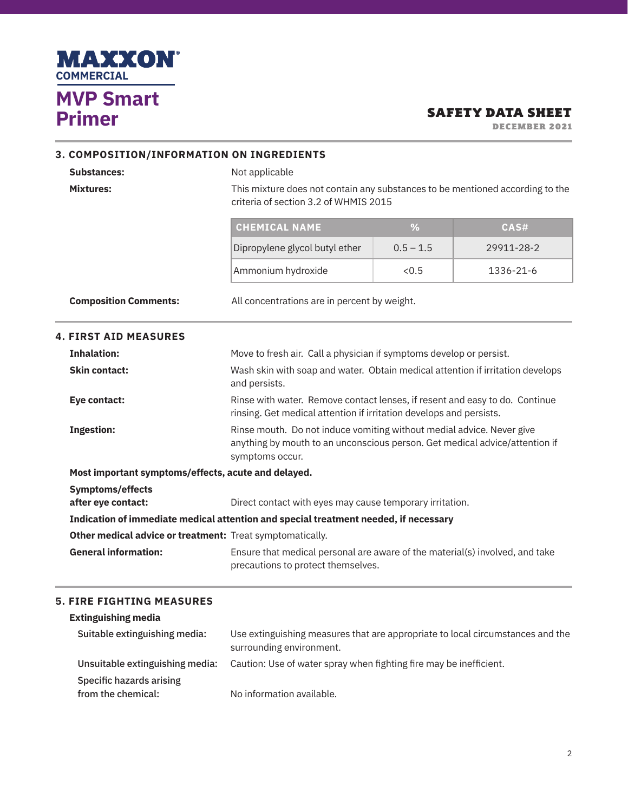

DECEMBER 2021

#### **3. COMPOSITION/INFORMATION ON INGREDIENTS**

#### **Substances:** Not applicable

**Mixtures:** This mixture does not contain any substances to be mentioned according to the criteria of section 3.2 of WHMIS 2015

| <b>CHEMICAL NAME</b>           |             | CAS#       |
|--------------------------------|-------------|------------|
| Dipropylene glycol butyl ether | $0.5 - 1.5$ | 29911-28-2 |
| Ammonium hydroxide             | $\leq$ ().5 | 1336-21-6  |

**Composition Comments:** All concentrations are in percent by weight.

# **4. FIRST AID MEASURES Inhalation: Move to fresh air.** Call a physician if symptoms develop or persist. **Skin contact: Wash skin with soap and water. Obtain medical attention if irritation develops** and persists. **Eye contact: Rinse with water. Remove contact lenses, if resent and easy to do. Continue** rinsing. Get medical attention if irritation develops and persists. **Ingestion: Rinse mouth.** Do not induce vomiting without medial advice. Never give anything by mouth to an unconscious person. Get medical advice/attention if symptoms occur. **Most important symptoms/effects, acute and delayed. Symptoms/effects after eye contact: Direct contact with eyes may cause temporary irritation. Indication of immediate medical attention and special treatment needed, if necessary Other medical advice or treatment:** Treat symptomatically.

**General information:** Ensure that medical personal are aware of the material(s) involved, and take precautions to protect themselves.

#### **5. FIRE FIGHTING MEASURES**

| <b>Extinguishing media</b>                     |                                                                                                            |
|------------------------------------------------|------------------------------------------------------------------------------------------------------------|
| Suitable extinguishing media:                  | Use extinguishing measures that are appropriate to local circumstances and the<br>surrounding environment. |
| Unsuitable extinguishing media:                | Caution: Use of water spray when fighting fire may be inefficient.                                         |
| Specific hazards arising<br>from the chemical: | No information available.                                                                                  |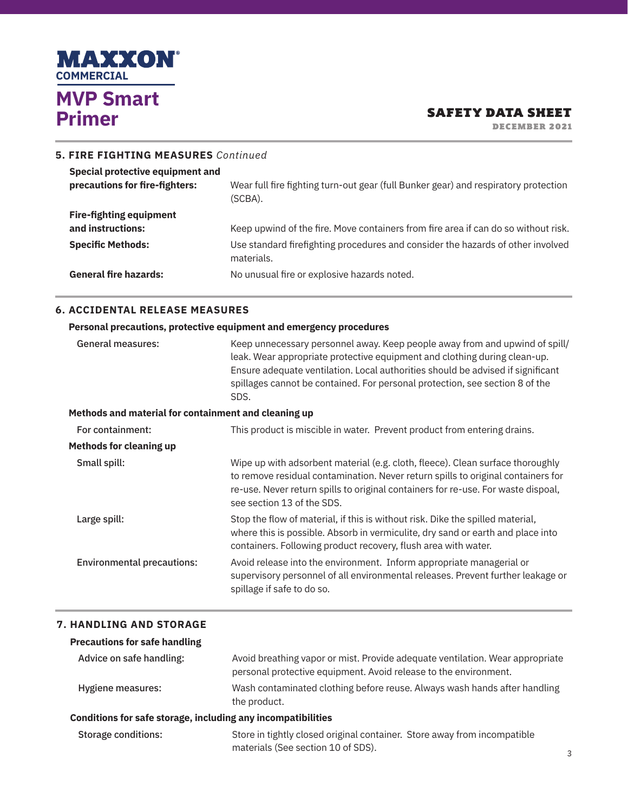

DECEMBER 2021

| 5. FIRE FIGHTING MEASURES Continued                                |                                                                                                |
|--------------------------------------------------------------------|------------------------------------------------------------------------------------------------|
| Special protective equipment and<br>precautions for fire-fighters: | Wear full fire fighting turn-out gear (full Bunker gear) and respiratory protection<br>(SCBA). |
| <b>Fire-fighting equipment</b>                                     |                                                                                                |
| and instructions:                                                  | Keep upwind of the fire. Move containers from fire area if can do so without risk.             |
| <b>Specific Methods:</b>                                           | Use standard firefighting procedures and consider the hazards of other involved<br>materials.  |
| <b>General fire hazards:</b>                                       | No unusual fire or explosive hazards noted.                                                    |

### **6. ACCIDENTAL RELEASE MEASURES**

|                                                      | Personal precautions, protective equipment and emergency procedures                                                                                                                                                                                                                                                                 |
|------------------------------------------------------|-------------------------------------------------------------------------------------------------------------------------------------------------------------------------------------------------------------------------------------------------------------------------------------------------------------------------------------|
| <b>General measures:</b>                             | Keep unnecessary personnel away. Keep people away from and upwind of spill/<br>leak. Wear appropriate protective equipment and clothing during clean-up.<br>Ensure adequate ventilation. Local authorities should be advised if significant<br>spillages cannot be contained. For personal protection, see section 8 of the<br>SDS. |
| Methods and material for containment and cleaning up |                                                                                                                                                                                                                                                                                                                                     |
| For containment:                                     | This product is miscible in water. Prevent product from entering drains.                                                                                                                                                                                                                                                            |
| <b>Methods for cleaning up</b>                       |                                                                                                                                                                                                                                                                                                                                     |
| Small spill:                                         | Wipe up with adsorbent material (e.g. cloth, fleece). Clean surface thoroughly<br>to remove residual contamination. Never return spills to original containers for<br>re-use. Never return spills to original containers for re-use. For waste dispoal,<br>see section 13 of the SDS.                                               |
| Large spill:                                         | Stop the flow of material, if this is without risk. Dike the spilled material,<br>where this is possible. Absorb in vermiculite, dry sand or earth and place into<br>containers. Following product recovery, flush area with water.                                                                                                 |
| <b>Environmental precautions:</b>                    | Avoid release into the environment. Inform appropriate managerial or<br>supervisory personnel of all environmental releases. Prevent further leakage or<br>spillage if safe to do so.                                                                                                                                               |

#### **7. HANDLING AND STORAGE**

## **Precautions for safe handling**

| Advice on safe handling: | Avoid breathing vapor or mist. Provide adequate ventilation. Wear appropriate |
|--------------------------|-------------------------------------------------------------------------------|
|                          | personal protective equipment. Avoid release to the environment.              |
| Hygiene measures:        | Wash contaminated clothing before reuse. Always wash hands after handling     |
|                          | the product.                                                                  |

#### **Conditions for safe storage, including any incompatibilities**

| Storage conditions: | Store in tightly closed original container. Store away from incompatible |
|---------------------|--------------------------------------------------------------------------|
|                     | materials (See section 10 of SDS).                                       |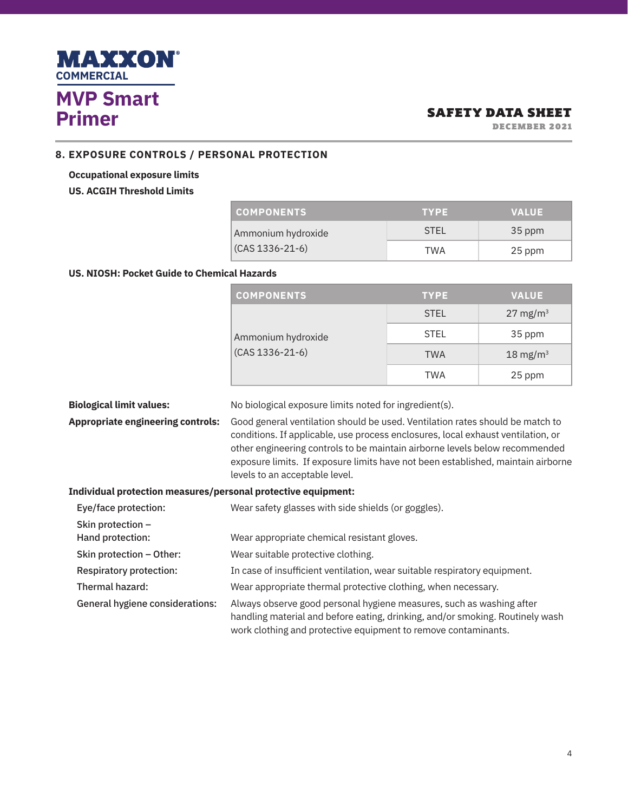

DECEMBER 2021

### **8. EXPOSURE CONTROLS / PERSONAL PROTECTION**

## **Occupational exposure limits US. ACGIH Threshold Limits**

| <b>COMPONENTS</b>     | <b>TYPE</b> | <b>VALUE</b> |
|-----------------------|-------------|--------------|
| Ammonium hydroxide    | <b>STFI</b> | 35 ppm       |
| $(CAS 1336 - 21 - 6)$ | TWA         | 25 ppm       |

# **US. NIOSH: Pocket Guide to Chemical Hazards**

| <b>COMPONENTS</b>     | <b>TYPE</b> | <b>VALUE</b>        |
|-----------------------|-------------|---------------------|
|                       | <b>STEL</b> | $27 \text{ mg/m}^3$ |
| Ammonium hydroxide    | <b>STEL</b> | 35 ppm              |
| $(CAS 1336 - 21 - 6)$ | <b>TWA</b>  | 18 mg/m $3$         |
|                       | <b>TWA</b>  | 25 ppm              |

| <b>Biological limit values:</b>                               | No biological exposure limits noted for ingredient(s).                                                                                                                                                                                                                                                                                                                 |  |
|---------------------------------------------------------------|------------------------------------------------------------------------------------------------------------------------------------------------------------------------------------------------------------------------------------------------------------------------------------------------------------------------------------------------------------------------|--|
| <b>Appropriate engineering controls:</b>                      | Good general ventilation should be used. Ventilation rates should be match to<br>conditions. If applicable, use process enclosures, local exhaust ventilation, or<br>other engineering controls to be maintain airborne levels below recommended<br>exposure limits. If exposure limits have not been established, maintain airborne<br>levels to an acceptable level. |  |
| Individual protection measures/personal protective equipment: |                                                                                                                                                                                                                                                                                                                                                                        |  |

| Eye/face protection:                  | Wear safety glasses with side shields (or goggles).                                                                                                                                                                     |
|---------------------------------------|-------------------------------------------------------------------------------------------------------------------------------------------------------------------------------------------------------------------------|
| Skin protection -<br>Hand protection: | Wear appropriate chemical resistant gloves.                                                                                                                                                                             |
| Skin protection - Other:              | Wear suitable protective clothing.                                                                                                                                                                                      |
| <b>Respiratory protection:</b>        | In case of insufficient ventilation, wear suitable respiratory equipment.                                                                                                                                               |
| Thermal hazard:                       | Wear appropriate thermal protective clothing, when necessary.                                                                                                                                                           |
| General hygiene considerations:       | Always observe good personal hygiene measures, such as washing after<br>handling material and before eating, drinking, and/or smoking. Routinely wash<br>work clothing and protective equipment to remove contaminants. |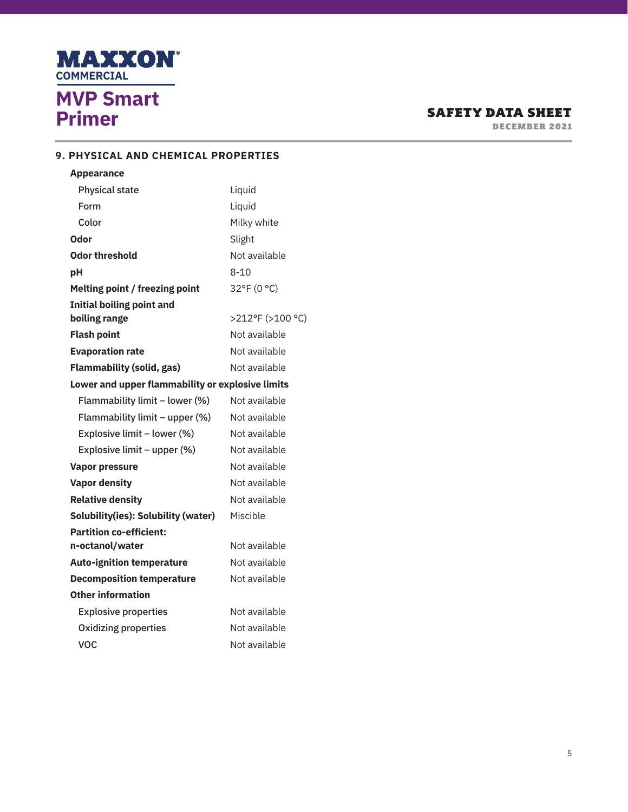

DECEMBER 2021

## **9. PHYSICAL AND CHEMICAL PROPERTIES**

| <b>Appearance</b>                                 |                  |  |  |  |  |
|---------------------------------------------------|------------------|--|--|--|--|
| <b>Physical state</b>                             | Liquid           |  |  |  |  |
| Form                                              | Liquid           |  |  |  |  |
| Color                                             | Milky white      |  |  |  |  |
| Odor                                              | Slight           |  |  |  |  |
| Odor threshold                                    | Not available    |  |  |  |  |
| рH                                                | $8 - 10$         |  |  |  |  |
| Melting point / freezing point                    | 32°F (0 °C)      |  |  |  |  |
| <b>Initial boiling point and</b>                  |                  |  |  |  |  |
| boiling range                                     | >212°F (>100 °C) |  |  |  |  |
| <b>Flash point</b>                                | Not available    |  |  |  |  |
| <b>Evaporation rate</b>                           | Not available    |  |  |  |  |
| Not available<br><b>Flammability (solid, gas)</b> |                  |  |  |  |  |
| Lower and upper flammability or explosive limits  |                  |  |  |  |  |
| Flammability limit - lower (%)                    | Not available    |  |  |  |  |
| Flammability limit - upper (%)                    | Not available    |  |  |  |  |
| Explosive limit - lower (%)                       | Not available    |  |  |  |  |
| Explosive limit - upper (%)                       | Not available    |  |  |  |  |
| <b>Vapor pressure</b>                             | Not available    |  |  |  |  |
| <b>Vapor density</b>                              | Not available    |  |  |  |  |
| <b>Relative density</b>                           | Not available    |  |  |  |  |
| Solubility(ies): Solubility (water)               | Miscible         |  |  |  |  |
| <b>Partition co-efficient:</b>                    |                  |  |  |  |  |
| n-octanol/water                                   | Not available    |  |  |  |  |
| <b>Auto-ignition temperature</b>                  | Not available    |  |  |  |  |
| <b>Decomposition temperature</b>                  | Not available    |  |  |  |  |
| Other information                                 |                  |  |  |  |  |
| <b>Explosive properties</b>                       | Not available    |  |  |  |  |
| <b>Oxidizing properties</b>                       | Not available    |  |  |  |  |
| <b>VOC</b>                                        | Not available    |  |  |  |  |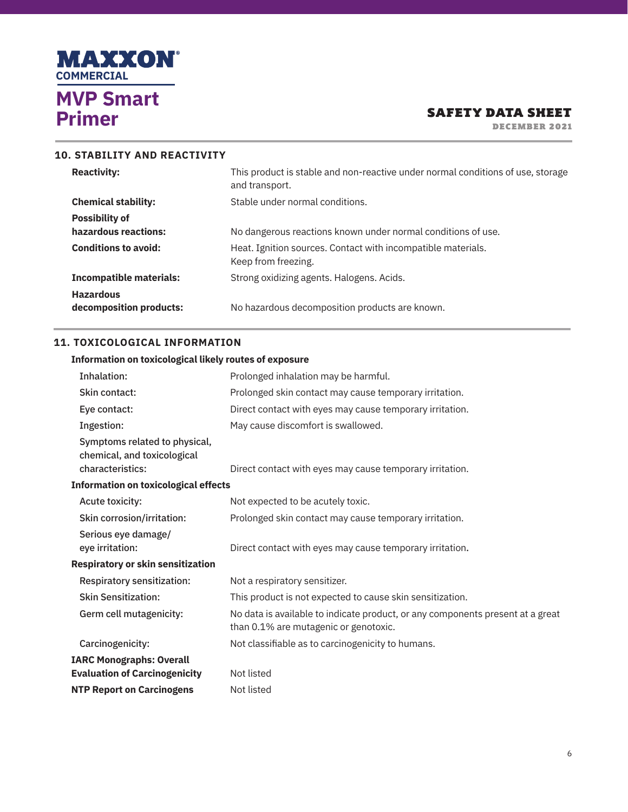

DECEMBER 2021

| This product is stable and non-reactive under normal conditions of use, storage<br>and transport. |
|---------------------------------------------------------------------------------------------------|
| Stable under normal conditions.                                                                   |
|                                                                                                   |
| No dangerous reactions known under normal conditions of use.                                      |
| Heat. Ignition sources. Contact with incompatible materials.<br>Keep from freezing.               |
| Strong oxidizing agents. Halogens. Acids.                                                         |
| No hazardous decomposition products are known.                                                    |
|                                                                                                   |

### **11. TOXICOLOGICAL INFORMATION**

#### **Information on toxicological likely routes of exposure**

| Inhalation:                                                                      | Prolonged inhalation may be harmful.                                                                                    |
|----------------------------------------------------------------------------------|-------------------------------------------------------------------------------------------------------------------------|
| Skin contact:                                                                    | Prolonged skin contact may cause temporary irritation.                                                                  |
| Eye contact:                                                                     | Direct contact with eyes may cause temporary irritation.                                                                |
| Ingestion:                                                                       | May cause discomfort is swallowed.                                                                                      |
| Symptoms related to physical,<br>chemical, and toxicological<br>characteristics: | Direct contact with eyes may cause temporary irritation.                                                                |
| <b>Information on toxicological effects</b>                                      |                                                                                                                         |
| Acute toxicity:                                                                  | Not expected to be acutely toxic.                                                                                       |
| Skin corrosion/irritation:                                                       | Prolonged skin contact may cause temporary irritation.                                                                  |
| Serious eye damage/<br>eye irritation:                                           | Direct contact with eyes may cause temporary irritation.                                                                |
| <b>Respiratory or skin sensitization</b>                                         |                                                                                                                         |
| <b>Respiratory sensitization:</b>                                                | Not a respiratory sensitizer.                                                                                           |
| <b>Skin Sensitization:</b>                                                       | This product is not expected to cause skin sensitization.                                                               |
| Germ cell mutagenicity:                                                          | No data is available to indicate product, or any components present at a great<br>than 0.1% are mutagenic or genotoxic. |
| Carcinogenicity:                                                                 | Not classifiable as to carcinogenicity to humans.                                                                       |
| <b>IARC Monographs: Overall</b><br><b>Evaluation of Carcinogenicity</b>          | Not listed                                                                                                              |
| <b>NTP Report on Carcinogens</b>                                                 | Not listed                                                                                                              |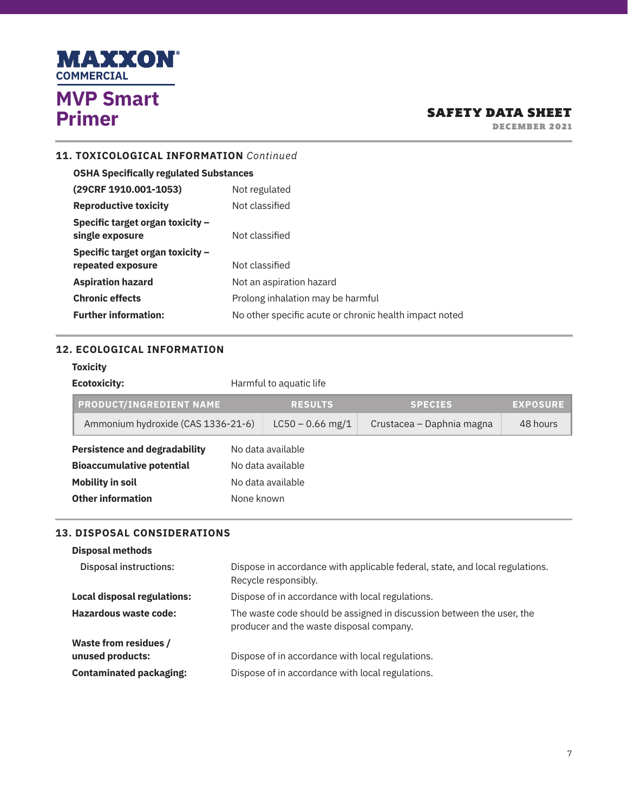

DECEMBER 2021

## **11. TOXICOLOGICAL INFORMATION** *Continued*

| <b>OSHA Specifically regulated Substances</b>       |                                                        |  |  |
|-----------------------------------------------------|--------------------------------------------------------|--|--|
| (29CRF 1910.001-1053)                               | Not regulated                                          |  |  |
| <b>Reproductive toxicity</b>                        | Not classified                                         |  |  |
| Specific target organ toxicity -<br>single exposure | Not classified                                         |  |  |
| Specific target organ toxicity -                    |                                                        |  |  |
| repeated exposure                                   | Not classified                                         |  |  |
| <b>Aspiration hazard</b>                            | Not an aspiration hazard                               |  |  |
| <b>Chronic effects</b>                              | Prolong inhalation may be harmful                      |  |  |
| <b>Further information:</b>                         | No other specific acute or chronic health impact noted |  |  |
|                                                     |                                                        |  |  |

## **12. ECOLOGICAL INFORMATION**

#### **Toxicity**

| <b>Ecotoxicity:</b>                  | Harmful to aquatic life |                    |                           |                 |
|--------------------------------------|-------------------------|--------------------|---------------------------|-----------------|
| <b>PRODUCT/INGREDIENT NAME</b>       |                         | <b>RESULTS</b>     | <b>SPECIES</b>            | <b>EXPOSURE</b> |
| Ammonium hydroxide (CAS 1336-21-6)   |                         | $LC50 - 0.66$ mg/1 | Crustacea – Daphnia magna | 48 hours        |
| <b>Persistence and degradability</b> |                         | No data available  |                           |                 |
| <b>Bioaccumulative potential</b>     |                         | No data available  |                           |                 |
| <b>Mobility in soil</b>              |                         | No data available  |                           |                 |
| <b>Other information</b>             |                         | None known         |                           |                 |

#### **13. DISPOSAL CONSIDERATIONS**

| <b>13. DISPOSAL CONSIDERATIONS</b><br><b>Disposal methods</b> |                                                                                                                   |
|---------------------------------------------------------------|-------------------------------------------------------------------------------------------------------------------|
| <b>Disposal instructions:</b>                                 | Dispose in accordance with applicable federal, state, and local regulations.<br>Recycle responsibly.              |
| Local disposal regulations:                                   | Dispose of in accordance with local regulations.                                                                  |
| Hazardous waste code:                                         | The waste code should be assigned in discussion between the user, the<br>producer and the waste disposal company. |
| <b>Waste from residues /</b><br>unused products:              | Dispose of in accordance with local regulations.                                                                  |
| <b>Contaminated packaging:</b>                                | Dispose of in accordance with local regulations.                                                                  |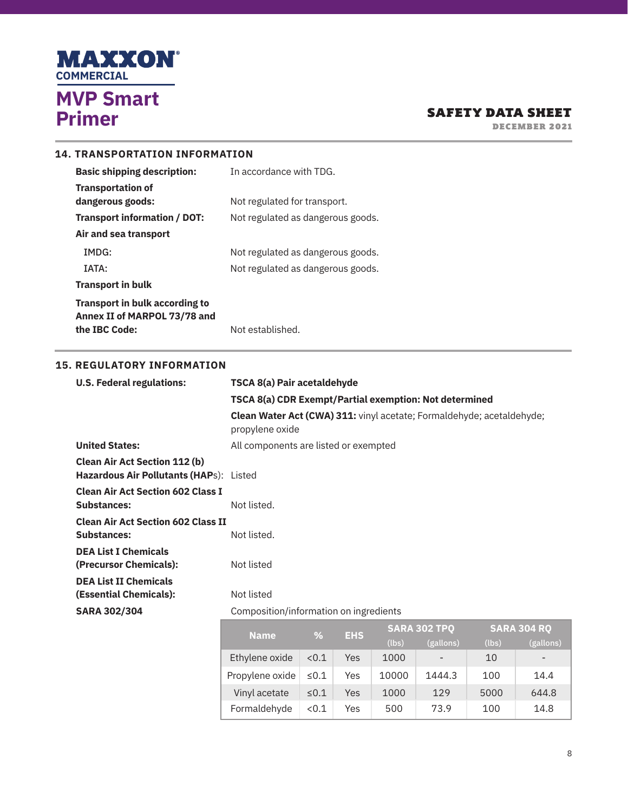

DECEMBER 2021

## **14. TRANSPORTATION INFORMATION**

| <b>Basic shipping description:</b>    | In accordance with TDG.           |
|---------------------------------------|-----------------------------------|
| <b>Transportation of</b>              |                                   |
| dangerous goods:                      | Not regulated for transport.      |
| Transport information / DOT:          | Not regulated as dangerous goods. |
| Air and sea transport                 |                                   |
| IMDG:                                 | Not regulated as dangerous goods. |
| IATA:                                 | Not regulated as dangerous goods. |
| <b>Transport in bulk</b>              |                                   |
| <b>Transport in bulk according to</b> |                                   |
| Annex II of MARPOL 73/78 and          |                                   |
| the IBC Code:                         | Not established.                  |

#### **15. REGULATORY INFORMATION**

| <b>U.S. Federal regulations:</b>                                                | TSCA 8(a) Pair acetaldehyde                                                                                       |  |  |
|---------------------------------------------------------------------------------|-------------------------------------------------------------------------------------------------------------------|--|--|
|                                                                                 | TSCA 8(a) CDR Exempt/Partial exemption: Not determined                                                            |  |  |
|                                                                                 | Clean Water Act (CWA) 311: vinyl acetate; Formaldehyde; acetaldehyde;<br>propylene oxide                          |  |  |
| <b>United States:</b>                                                           | All components are listed or exempted                                                                             |  |  |
| <b>Clean Air Act Section 112 (b)</b><br>Hazardous Air Pollutants (HAPs): Listed |                                                                                                                   |  |  |
| <b>Clean Air Act Section 602 Class I</b><br><b>Substances:</b>                  | Not listed.                                                                                                       |  |  |
| <b>Clean Air Act Section 602 Class II</b><br><b>Substances:</b>                 | Not listed.                                                                                                       |  |  |
| <b>DEA List I Chemicals</b><br>(Precursor Chemicals):                           | Not listed                                                                                                        |  |  |
| <b>DEA List II Chemicals</b><br>(Essential Chemicals):                          | Not listed                                                                                                        |  |  |
| <b>SARA 302/304</b>                                                             | Composition/information on ingredients                                                                            |  |  |
|                                                                                 | <b>SARA 302 TPQ</b><br><b>SARA 304 RC</b><br><b>NEW YORK CONTROL</b><br>$\sim$ $\sim$ $\sim$ $\sim$ $\sim$ $\sim$ |  |  |

| <b>Name</b>     | $\frac{9}{6}$ | <b>EHS</b> | <b>SARA 302 TPQ</b> |                 | <b>SARA 304 RQ</b> |                          |
|-----------------|---------------|------------|---------------------|-----------------|--------------------|--------------------------|
|                 |               |            | (lbs)               | (gallons)       | (lbs)              | (gallons)                |
| Ethylene oxide  | < 0.1         | Yes        | 1000                | $\qquad \qquad$ | 10                 | $\overline{\phantom{0}}$ |
| Propylene oxide | $\leq 0.1$    | Yes        | 10000               | 1444.3          | 100                | 14.4                     |
| Vinyl acetate   | $\leq 0.1$    | Yes        | 1000                | 129             | 5000               | 644.8                    |
| Formaldehyde    | < 0.1         | Yes        | 500                 | 73.9            | 100                | 14.8                     |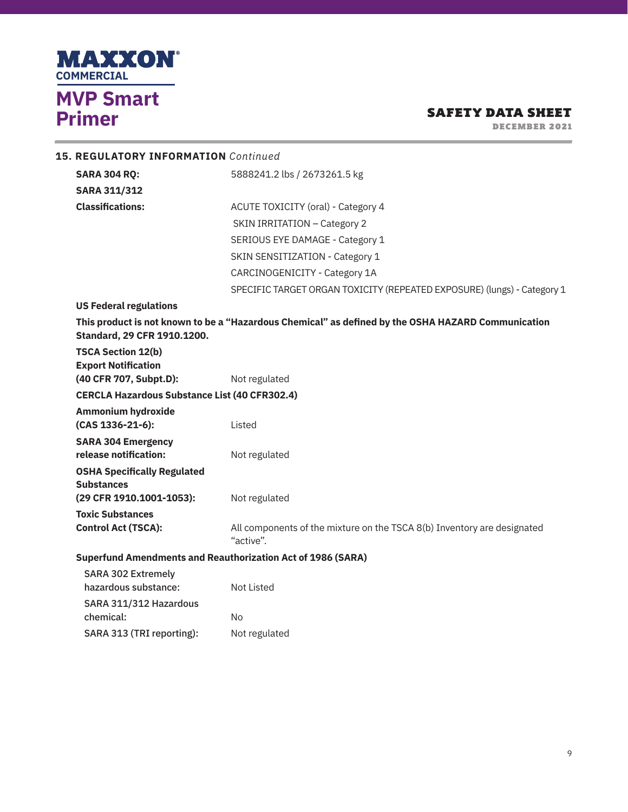

DECEMBER 2021

|                                                      | <b>15. REGULATORY INFORMATION</b> Continued                                                                                       |                                                                                      |  |  |
|------------------------------------------------------|-----------------------------------------------------------------------------------------------------------------------------------|--------------------------------------------------------------------------------------|--|--|
|                                                      | <b>SARA 304 RQ:</b>                                                                                                               | 5888241.2 lbs / 2673261.5 kg                                                         |  |  |
|                                                      | <b>SARA 311/312</b>                                                                                                               |                                                                                      |  |  |
|                                                      | <b>Classifications:</b>                                                                                                           | ACUTE TOXICITY (oral) - Category 4                                                   |  |  |
|                                                      |                                                                                                                                   | SKIN IRRITATION - Category 2                                                         |  |  |
|                                                      |                                                                                                                                   | SERIOUS EYE DAMAGE - Category 1                                                      |  |  |
|                                                      |                                                                                                                                   | SKIN SENSITIZATION - Category 1                                                      |  |  |
|                                                      |                                                                                                                                   | CARCINOGENICITY - Category 1A                                                        |  |  |
|                                                      |                                                                                                                                   | SPECIFIC TARGET ORGAN TOXICITY (REPEATED EXPOSURE) (lungs) - Category 1              |  |  |
|                                                      | <b>US Federal regulations</b>                                                                                                     |                                                                                      |  |  |
|                                                      | This product is not known to be a "Hazardous Chemical" as defined by the OSHA HAZARD Communication<br>Standard, 29 CFR 1910.1200. |                                                                                      |  |  |
|                                                      | <b>TSCA Section 12(b)</b><br><b>Export Notification</b><br>(40 CFR 707, Subpt.D):                                                 | Not regulated                                                                        |  |  |
| <b>CERCLA Hazardous Substance List (40 CFR302.4)</b> |                                                                                                                                   |                                                                                      |  |  |
|                                                      | <b>Ammonium hydroxide</b>                                                                                                         |                                                                                      |  |  |
|                                                      | (CAS 1336-21-6):                                                                                                                  | Listed                                                                               |  |  |
|                                                      | <b>SARA 304 Emergency</b><br>release notification:                                                                                | Not regulated                                                                        |  |  |
|                                                      | <b>OSHA Specifically Regulated</b>                                                                                                |                                                                                      |  |  |
|                                                      | <b>Substances</b><br>(29 CFR 1910.1001-1053):                                                                                     | Not regulated                                                                        |  |  |
|                                                      | <b>Toxic Substances</b>                                                                                                           |                                                                                      |  |  |
|                                                      | <b>Control Act (TSCA):</b>                                                                                                        | All components of the mixture on the TSCA 8(b) Inventory are designated<br>"active". |  |  |
|                                                      | <b>Superfund Amendments and Reauthorization Act of 1986 (SARA)</b>                                                                |                                                                                      |  |  |
|                                                      | <b>SARA 302 Extremely</b><br>hazardous substance:                                                                                 | <b>Not Listed</b>                                                                    |  |  |
|                                                      | SARA 311/312 Hazardous                                                                                                            |                                                                                      |  |  |

chemical: No SARA 313 (TRI reporting): Not regulated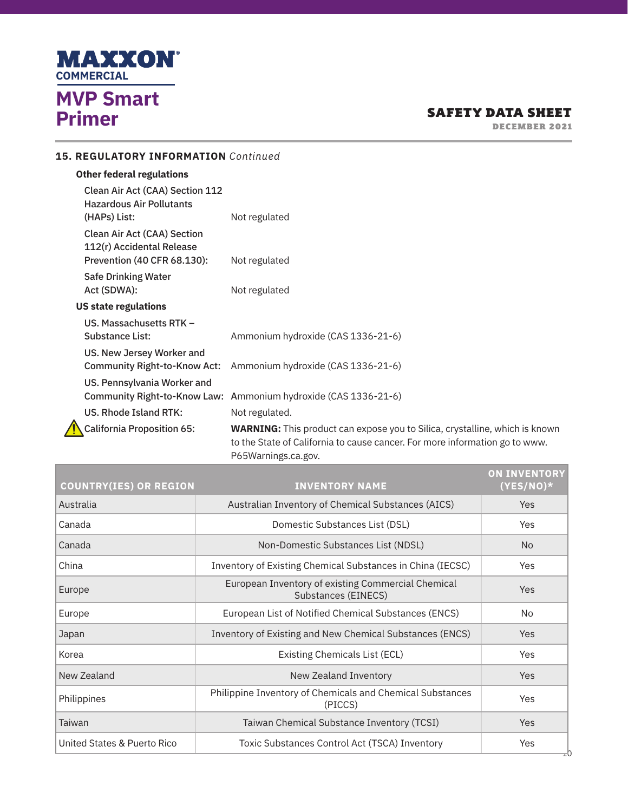

DECEMBER 2021

## **15. REGULATORY INFORMATION** *Continued*

## **Other federal regulations**

| Clean Air Act (CAA) Section 112<br><b>Hazardous Air Pollutants</b><br>(HAPs) List:             | Not regulated                                                                                                                                                                            |
|------------------------------------------------------------------------------------------------|------------------------------------------------------------------------------------------------------------------------------------------------------------------------------------------|
| <b>Clean Air Act (CAA) Section</b><br>112(r) Accidental Release<br>Prevention (40 CFR 68.130): | Not regulated                                                                                                                                                                            |
| Safe Drinking Water<br>Act (SDWA):                                                             | Not regulated                                                                                                                                                                            |
| <b>US state regulations</b>                                                                    |                                                                                                                                                                                          |
| US. Massachusetts RTK -<br>Substance List:                                                     | Ammonium hydroxide (CAS 1336-21-6)                                                                                                                                                       |
| US. New Jersey Worker and<br>Community Right-to-Know Act:                                      | Ammonium hydroxide (CAS 1336-21-6)                                                                                                                                                       |
| US. Pennsylvania Worker and                                                                    | Community Right-to-Know Law: Ammonium hydroxide (CAS 1336-21-6)                                                                                                                          |
| US. Rhode Island RTK:                                                                          | Not regulated.                                                                                                                                                                           |
| <b>California Proposition 65:</b>                                                              | <b>WARNING:</b> This product can expose you to Silica, crystalline, which is known<br>to the State of California to cause cancer. For more information go to www.<br>P65Warnings.ca.gov. |

| <b>COUNTRY(IES) OR REGION</b> | <b>INVENTORY NAME</b>                                                     | <b>ON INVENTORY</b><br>$(YES/NO)^*$ |
|-------------------------------|---------------------------------------------------------------------------|-------------------------------------|
| Australia                     | Australian Inventory of Chemical Substances (AICS)                        | <b>Yes</b>                          |
| Canada                        | Domestic Substances List (DSL)                                            | Yes                                 |
| Canada                        | Non-Domestic Substances List (NDSL)                                       | <b>No</b>                           |
| China                         | Inventory of Existing Chemical Substances in China (IECSC)                | Yes                                 |
| Europe                        | European Inventory of existing Commercial Chemical<br>Substances (EINECS) | <b>Yes</b>                          |
| Europe                        | European List of Notified Chemical Substances (ENCS)                      | No                                  |
| Japan                         | Inventory of Existing and New Chemical Substances (ENCS)                  | <b>Yes</b>                          |
| Korea                         | Existing Chemicals List (ECL)                                             | Yes                                 |
| New Zealand                   | New Zealand Inventory                                                     | <b>Yes</b>                          |
| Philippines                   | Philippine Inventory of Chemicals and Chemical Substances<br>(PICCS)      | Yes                                 |
| Taiwan                        | Taiwan Chemical Substance Inventory (TCSI)                                | <b>Yes</b>                          |
| United States & Puerto Rico   | Toxic Substances Control Act (TSCA) Inventory                             | Yes<br>고0                           |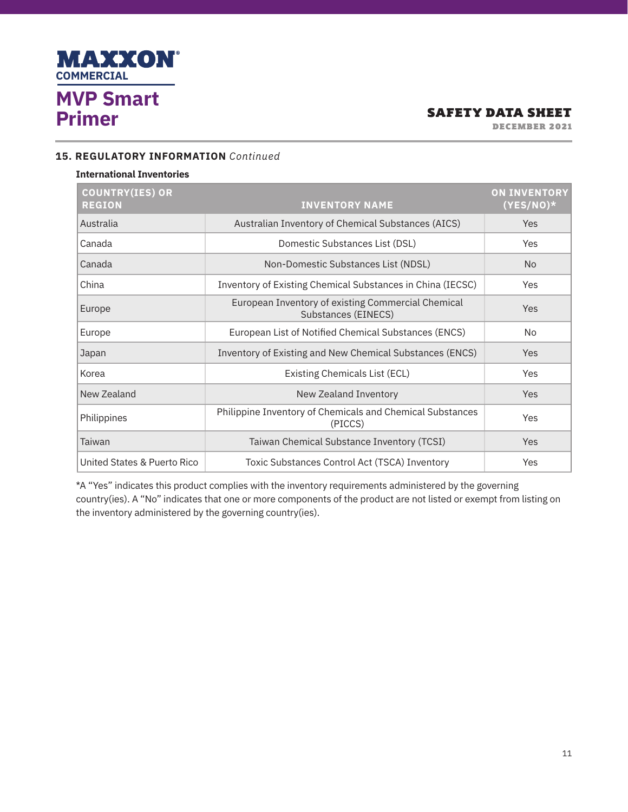

DECEMBER 2021

### **15. REGULATORY INFORMATION** *Continued*

#### **International Inventories**

| <b>COUNTRY(IES) OR</b><br><b>REGION</b> | <b>INVENTORY NAME</b>                                                     | <b>ON INVENTORY</b><br>$(YES/NO)^*$ |
|-----------------------------------------|---------------------------------------------------------------------------|-------------------------------------|
| Australia                               | Australian Inventory of Chemical Substances (AICS)                        | Yes                                 |
| Canada                                  | Domestic Substances List (DSL)                                            | Yes                                 |
| Canada                                  | Non-Domestic Substances List (NDSL)                                       | <b>No</b>                           |
| China                                   | Inventory of Existing Chemical Substances in China (IECSC)                | Yes                                 |
| Europe                                  | European Inventory of existing Commercial Chemical<br>Substances (EINECS) | Yes                                 |
| Europe                                  | European List of Notified Chemical Substances (ENCS)                      | <b>No</b>                           |
| Japan                                   | Inventory of Existing and New Chemical Substances (ENCS)                  | Yes                                 |
| Korea                                   | Existing Chemicals List (ECL)                                             | Yes                                 |
| New Zealand                             | New Zealand Inventory                                                     | Yes                                 |
| Philippines                             | Philippine Inventory of Chemicals and Chemical Substances<br>(PICCS)      |                                     |
| Taiwan                                  | Taiwan Chemical Substance Inventory (TCSI)                                | <b>Yes</b>                          |
| United States & Puerto Rico             | Toxic Substances Control Act (TSCA) Inventory                             | Yes                                 |

\*A "Yes" indicates this product complies with the inventory requirements administered by the governing country(ies). A "No" indicates that one or more components of the product are not listed or exempt from listing on the inventory administered by the governing country(ies).